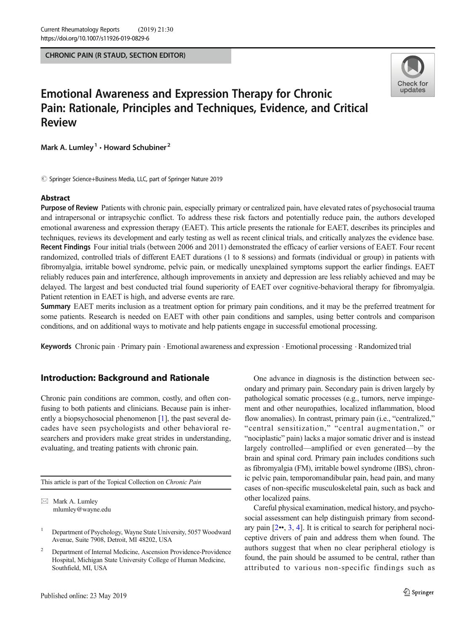CHRONIC PAIN (R STAUD, SECTION EDITOR)



# Emotional Awareness and Expression Therapy for Chronic Pain: Rationale, Principles and Techniques, Evidence, and Critical Review

Mark A. Lumley<sup>1</sup>  $\cdot$  Howard Schubiner<sup>2</sup>

© Springer Science+Business Media, LLC, part of Springer Nature 2019

#### Abstract

Purpose of Review Patients with chronic pain, especially primary or centralized pain, have elevated rates of psychosocial trauma and intrapersonal or intrapsychic conflict. To address these risk factors and potentially reduce pain, the authors developed emotional awareness and expression therapy (EAET). This article presents the rationale for EAET, describes its principles and techniques, reviews its development and early testing as well as recent clinical trials, and critically analyzes the evidence base. Recent Findings Four initial trials (between 2006 and 2011) demonstrated the efficacy of earlier versions of EAET. Four recent randomized, controlled trials of different EAET durations (1 to 8 sessions) and formats (individual or group) in patients with fibromyalgia, irritable bowel syndrome, pelvic pain, or medically unexplained symptoms support the earlier findings. EAET reliably reduces pain and interference, although improvements in anxiety and depression are less reliably achieved and may be delayed. The largest and best conducted trial found superiority of EAET over cognitive-behavioral therapy for fibromyalgia. Patient retention in EAET is high, and adverse events are rare.

Summary EAET merits inclusion as a treatment option for primary pain conditions, and it may be the preferred treatment for some patients. Research is needed on EAET with other pain conditions and samples, using better controls and comparison conditions, and on additional ways to motivate and help patients engage in successful emotional processing.

Keywords Chronic pain . Primary pain . Emotional awareness and expression . Emotional processing . Randomized trial

# Introduction: Background and Rationale

Chronic pain conditions are common, costly, and often confusing to both patients and clinicians. Because pain is inher-ently a biopsychosocial phenomenon [\[1](#page-5-0)], the past several decades have seen psychologists and other behavioral researchers and providers make great strides in understanding, evaluating, and treating patients with chronic pain.

This article is part of the Topical Collection on Chronic Pain

 $\boxtimes$  Mark A. Lumley [mlumley@wayne.edu](mailto:mlumley@wayne.edu)

One advance in diagnosis is the distinction between secondary and primary pain. Secondary pain is driven largely by pathological somatic processes (e.g., tumors, nerve impingement and other neuropathies, localized inflammation, blood flow anomalies). In contrast, primary pain (i.e., "centralized," "central sensitization," "central augmentation," or "nociplastic" pain) lacks a major somatic driver and is instead largely controlled—amplified or even generated—by the brain and spinal cord. Primary pain includes conditions such as fibromyalgia (FM), irritable bowel syndrome (IBS), chronic pelvic pain, temporomandibular pain, head pain, and many cases of non-specific musculoskeletal pain, such as back and other localized pains.

Careful physical examination, medical history, and psychosocial assessment can help distinguish primary from secondary pain  $[2\bullet, 3, 4]$  $[2\bullet, 3, 4]$  $[2\bullet, 3, 4]$  $[2\bullet, 3, 4]$  $[2\bullet, 3, 4]$  $[2\bullet, 3, 4]$ . It is critical to search for peripheral nociceptive drivers of pain and address them when found. The authors suggest that when no clear peripheral etiology is found, the pain should be assumed to be central, rather than attributed to various non-specific findings such as

<sup>&</sup>lt;sup>1</sup> Department of Psychology, Wayne State University, 5057 Woodward Avenue, Suite 7908, Detroit, MI 48202, USA

<sup>2</sup> Department of Internal Medicine, Ascension Providence-Providence Hospital, Michigan State University College of Human Medicine, Southfield, MI, USA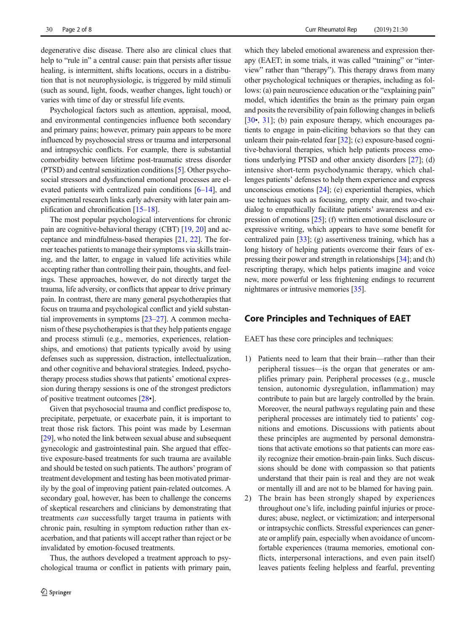degenerative disc disease. There also are clinical clues that help to "rule in" a central cause: pain that persists after tissue healing, is intermittent, shifts locations, occurs in a distribution that is not neurophysiologic, is triggered by mild stimuli (such as sound, light, foods, weather changes, light touch) or varies with time of day or stressful life events.

Psychological factors such as attention, appraisal, mood, and environmental contingencies influence both secondary and primary pains; however, primary pain appears to be more influenced by psychosocial stress or trauma and interpersonal and intrapsychic conflicts. For example, there is substantial comorbidity between lifetime post-traumatic stress disorder (PTSD) and central sensitization conditions [\[5\]](#page-5-0). Other psychosocial stressors and dysfunctional emotional processes are elevated patients with centralized pain conditions [\[6](#page-6-0)–[14\]](#page-6-0), and experimental research links early adversity with later pain amplification and chronification [[15](#page-6-0)–[18](#page-6-0)].

The most popular psychological interventions for chronic pain are cognitive-behavioral therapy (CBT) [\[19,](#page-6-0) [20\]](#page-6-0) and acceptance and mindfulness-based therapies [\[21](#page-6-0), [22\]](#page-6-0). The former teaches patients to manage their symptoms via skills training, and the latter, to engage in valued life activities while accepting rather than controlling their pain, thoughts, and feelings. These approaches, however, do not directly target the trauma, life adversity, or conflicts that appear to drive primary pain. In contrast, there are many general psychotherapies that focus on trauma and psychological conflict and yield substantial improvements in symptoms [[23](#page-6-0)–[27](#page-6-0)]. A common mechanism of these psychotherapies is that they help patients engage and process stimuli (e.g., memories, experiences, relationships, and emotions) that patients typically avoid by using defenses such as suppression, distraction, intellectualization, and other cognitive and behavioral strategies. Indeed, psychotherapy process studies shows that patients' emotional expression during therapy sessions is one of the strongest predictors of positive treatment outcomes [[28](#page-6-0)•].

Given that psychosocial trauma and conflict predispose to, precipitate, perpetuate, or exacerbate pain, it is important to treat those risk factors. This point was made by Leserman [\[29\]](#page-6-0), who noted the link between sexual abuse and subsequent gynecologic and gastrointestinal pain. She argued that effective exposure-based treatments for such trauma are available and should be tested on such patients. The authors' program of treatment development and testing has been motivated primarily by the goal of improving patient pain-related outcomes. A secondary goal, however, has been to challenge the concerns of skeptical researchers and clinicians by demonstrating that treatments can successfully target trauma in patients with chronic pain, resulting in symptom reduction rather than exacerbation, and that patients will accept rather than reject or be invalidated by emotion-focused treatments.

Thus, the authors developed a treatment approach to psychological trauma or conflict in patients with primary pain,

which they labeled emotional awareness and expression therapy (EAET; in some trials, it was called "training" or "interview" rather than "therapy"). This therapy draws from many other psychological techniques or therapies, including as follows: (a) pain neuroscience education or the "explaining pain" model, which identifies the brain as the primary pain organ and posits the reversibility of pain following changes in beliefs [\[30](#page-6-0)•, [31](#page-6-0)]; (b) pain exposure therapy, which encourages patients to engage in pain-eliciting behaviors so that they can unlearn their pain-related fear [\[32\]](#page-6-0); (c) exposure-based cognitive-behavioral therapies, which help patients process emotions underlying PTSD and other anxiety disorders [\[27](#page-6-0)]; (d) intensive short-term psychodynamic therapy, which challenges patients' defenses to help them experience and express unconscious emotions [\[24\]](#page-6-0); (e) experiential therapies, which use techniques such as focusing, empty chair, and two-chair dialog to empathically facilitate patients' awareness and expression of emotions [\[25\]](#page-6-0); (f) written emotional disclosure or expressive writing, which appears to have some benefit for centralized pain [[33](#page-6-0)]; (g) assertiveness training, which has a long history of helping patients overcome their fears of expressing their power and strength in relationships [\[34](#page-6-0)]; and (h) rescripting therapy, which helps patients imagine and voice new, more powerful or less frightening endings to recurrent nightmares or intrusive memories [[35](#page-6-0)].

# Core Principles and Techniques of EAET

EAET has these core principles and techniques:

- 1) Patients need to learn that their brain—rather than their peripheral tissues—is the organ that generates or amplifies primary pain. Peripheral processes (e.g., muscle tension, autonomic dysregulation, inflammation) may contribute to pain but are largely controlled by the brain. Moreover, the neural pathways regulating pain and these peripheral processes are intimately tied to patients' cognitions and emotions. Discussions with patients about these principles are augmented by personal demonstrations that activate emotions so that patients can more easily recognize their emotion-brain-pain links. Such discussions should be done with compassion so that patients understand that their pain is real and they are not weak or mentally ill and are not to be blamed for having pain.
- 2) The brain has been strongly shaped by experiences throughout one's life, including painful injuries or procedures; abuse, neglect, or victimization; and interpersonal or intrapsychic conflicts. Stressful experiences can generate or amplify pain, especially when avoidance of uncomfortable experiences (trauma memories, emotional conflicts, interpersonal interactions, and even pain itself) leaves patients feeling helpless and fearful, preventing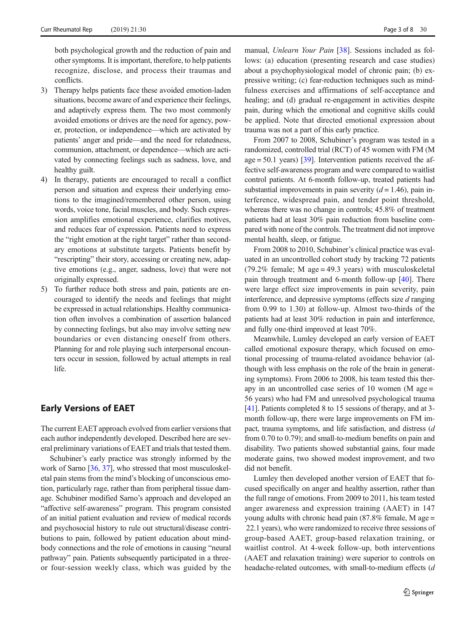both psychological growth and the reduction of pain and other symptoms. It is important, therefore, to help patients recognize, disclose, and process their traumas and conflicts.

- 3) Therapy helps patients face these avoided emotion-laden situations, become aware of and experience their feelings, and adaptively express them. The two most commonly avoided emotions or drives are the need for agency, power, protection, or independence—which are activated by patients' anger and pride—and the need for relatedness, communion, attachment, or dependence—which are activated by connecting feelings such as sadness, love, and healthy guilt.
- 4) In therapy, patients are encouraged to recall a conflict person and situation and express their underlying emotions to the imagined/remembered other person, using words, voice tone, facial muscles, and body. Such expression amplifies emotional experience, clarifies motives, and reduces fear of expression. Patients need to express the "right emotion at the right target" rather than secondary emotions at substitute targets. Patients benefit by "rescripting" their story, accessing or creating new, adaptive emotions (e.g., anger, sadness, love) that were not originally expressed.
- 5) To further reduce both stress and pain, patients are encouraged to identify the needs and feelings that might be expressed in actual relationships. Healthy communication often involves a combination of assertion balanced by connecting feelings, but also may involve setting new boundaries or even distancing oneself from others. Planning for and role playing such interpersonal encounters occur in session, followed by actual attempts in real life.

### Early Versions of EAET

The current EAET approach evolved from earlier versions that each author independently developed. Described here are several preliminary variations of EAET and trials that tested them.

Schubiner's early practice was strongly informed by the work of Sarno [\[36,](#page-6-0) [37\]](#page-6-0), who stressed that most musculoskeletal pain stems from the mind's blocking of unconscious emotion, particularly rage, rather than from peripheral tissue damage. Schubiner modified Sarno's approach and developed an "affective self-awareness" program. This program consisted of an initial patient evaluation and review of medical records and psychosocial history to rule out structural/disease contributions to pain, followed by patient education about mindbody connections and the role of emotions in causing "neural pathway" pain. Patients subsequently participated in a threeor four-session weekly class, which was guided by the manual, Unlearn Your Pain [[38\]](#page-6-0). Sessions included as follows: (a) education (presenting research and case studies) about a psychophysiological model of chronic pain; (b) expressive writing; (c) fear-reduction techniques such as mindfulness exercises and affirmations of self-acceptance and healing; and (d) gradual re-engagement in activities despite pain, during which the emotional and cognitive skills could be applied. Note that directed emotional expression about trauma was not a part of this early practice.

From 2007 to 2008, Schubiner's program was tested in a randomized, controlled trial (RCT) of 45 women with FM (M age  $= 50.1$  years) [[39](#page-6-0)]. Intervention patients received the affective self-awareness program and were compared to waitlist control patients. At 6-month follow-up, treated patients had substantial improvements in pain severity  $(d = 1.46)$ , pain interference, widespread pain, and tender point threshold, whereas there was no change in controls; 45.8% of treatment patients had at least 30% pain reduction from baseline compared with none of the controls. The treatment did not improve mental health, sleep, or fatigue.

From 2008 to 2010, Schubiner's clinical practice was evaluated in an uncontrolled cohort study by tracking 72 patients (79.2% female; M age = 49.3 years) with musculoskeletal pain through treatment and 6-month follow-up [\[40](#page-6-0)]. There were large effect size improvements in pain severity, pain interference, and depressive symptoms (effects size d ranging from 0.99 to 1.30) at follow-up. Almost two-thirds of the patients had at least 30% reduction in pain and interference, and fully one-third improved at least 70%.

Meanwhile, Lumley developed an early version of EAET called emotional exposure therapy, which focused on emotional processing of trauma-related avoidance behavior (although with less emphasis on the role of the brain in generating symptoms). From 2006 to 2008, his team tested this therapy in an uncontrolled case series of 10 women (M age  $=$ 56 years) who had FM and unresolved psychological trauma [\[41](#page-6-0)]. Patients completed 8 to 15 sessions of therapy, and at 3 month follow-up, there were large improvements on FM impact, trauma symptoms, and life satisfaction, and distress (d from 0.70 to 0.79); and small-to-medium benefits on pain and disability. Two patients showed substantial gains, four made moderate gains, two showed modest improvement, and two did not benefit.

Lumley then developed another version of EAET that focused specifically on anger and healthy assertion, rather than the full range of emotions. From 2009 to 2011, his team tested anger awareness and expression training (AAET) in 147 young adults with chronic head pain (87.8% female, M age = 22.1 years), who were randomized to receive three sessions of group-based AAET, group-based relaxation training, or waitlist control. At 4-week follow-up, both interventions (AAET and relaxation training) were superior to controls on headache-related outcomes, with small-to-medium effects (d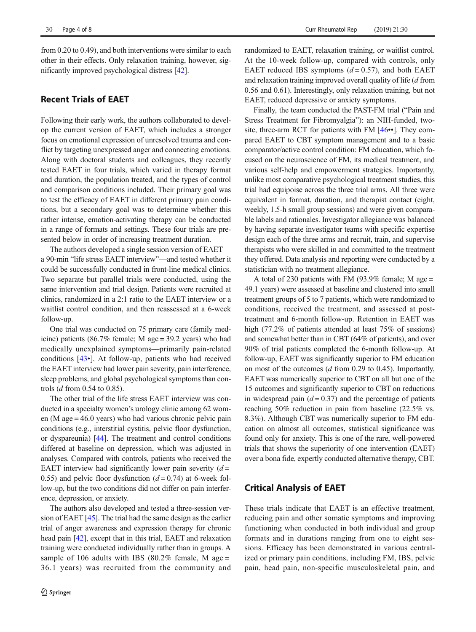from 0.20 to 0.49), and both interventions were similar to each other in their effects. Only relaxation training, however, significantly improved psychological distress [\[42](#page-7-0)].

# Recent Trials of EAET

Following their early work, the authors collaborated to develop the current version of EAET, which includes a stronger focus on emotional expression of unresolved trauma and conflict by targeting unexpressed anger and connecting emotions. Along with doctoral students and colleagues, they recently tested EAET in four trials, which varied in therapy format and duration, the population treated, and the types of control and comparison conditions included. Their primary goal was to test the efficacy of EAET in different primary pain conditions, but a secondary goal was to determine whether this rather intense, emotion-activating therapy can be conducted in a range of formats and settings. These four trials are presented below in order of increasing treatment duration.

The authors developed a single session version of EAET a 90-min "life stress EAET interview"—and tested whether it could be successfully conducted in front-line medical clinics. Two separate but parallel trials were conducted, using the same intervention and trial design. Patients were recruited at clinics, randomized in a 2:1 ratio to the EAET interview or a waitlist control condition, and then reassessed at a 6-week follow-up.

One trial was conducted on 75 primary care (family medicine) patients  $(86.7\%$  female; M age = 39.2 years) who had medically unexplained symptoms—primarily pain-related conditions [[43](#page-7-0)•]. At follow-up, patients who had received the EAET interview had lower pain severity, pain interference, sleep problems, and global psychological symptoms than controls (d from 0.54 to 0.85).

The other trial of the life stress EAET interview was conducted in a specialty women's urology clinic among 62 women (M age = 46.0 years) who had various chronic pelvic pain conditions (e.g., interstitial cystitis, pelvic floor dysfunction, or dyspareunia) [\[44](#page-7-0)]. The treatment and control conditions differed at baseline on depression, which was adjusted in analyses. Compared with controls, patients who received the EAET interview had significantly lower pain severity  $(d =$ 0.55) and pelvic floor dysfunction  $(d=0.74)$  at 6-week follow-up, but the two conditions did not differ on pain interference, depression, or anxiety.

The authors also developed and tested a three-session version of EAET [\[45](#page-7-0)]. The trial had the same design as the earlier trial of anger awareness and expression therapy for chronic head pain [\[42\]](#page-7-0), except that in this trial, EAET and relaxation training were conducted individually rather than in groups. A sample of 106 adults with IBS  $(80.2\%$  female, M age = 36.1 years) was recruited from the community and randomized to EAET, relaxation training, or waitlist control. At the 10-week follow-up, compared with controls, only EAET reduced IBS symptoms  $(d = 0.57)$ , and both EAET and relaxation training improved overall quality of life (d from 0.56 and 0.61). Interestingly, only relaxation training, but not EAET, reduced depressive or anxiety symptoms.

Finally, the team conducted the PAST-FM trial ("Pain and Stress Treatment for Fibromyalgia"): an NIH-funded, twosite, three-arm RCT for patients with FM [\[46](#page-7-0)••]. They compared EAET to CBT symptom management and to a basic comparator/active control condition: FM education, which focused on the neuroscience of FM, its medical treatment, and various self-help and empowerment strategies. Importantly, unlike most comparative psychological treatment studies, this trial had equipoise across the three trial arms. All three were equivalent in format, duration, and therapist contact (eight, weekly, 1.5-h small group sessions) and were given comparable labels and rationales. Investigator allegiance was balanced by having separate investigator teams with specific expertise design each of the three arms and recruit, train, and supervise therapists who were skilled in and committed to the treatment they offered. Data analysis and reporting were conducted by a statistician with no treatment allegiance.

A total of 230 patients with FM  $(93.9\%$  female; M age = 49.1 years) were assessed at baseline and clustered into small treatment groups of 5 to 7 patients, which were randomized to conditions, received the treatment, and assessed at posttreatment and 6-month follow-up. Retention in EAET was high (77.2% of patients attended at least 75% of sessions) and somewhat better than in CBT (64% of patients), and over 90% of trial patients completed the 6-month follow-up. At follow-up, EAET was significantly superior to FM education on most of the outcomes (d from 0.29 to 0.45). Importantly, EAET was numerically superior to CBT on all but one of the 15 outcomes and significantly superior to CBT on reductions in widespread pain  $(d = 0.37)$  and the percentage of patients reaching 50% reduction in pain from baseline (22.5% vs. 8.3%). Although CBT was numerically superior to FM education on almost all outcomes, statistical significance was found only for anxiety. This is one of the rare, well-powered trials that shows the superiority of one intervention (EAET) over a bona fide, expertly conducted alternative therapy, CBT.

## Critical Analysis of EAET

These trials indicate that EAET is an effective treatment, reducing pain and other somatic symptoms and improving functioning when conducted in both individual and group formats and in durations ranging from one to eight sessions. Efficacy has been demonstrated in various centralized or primary pain conditions, including FM, IBS, pelvic pain, head pain, non-specific musculoskeletal pain, and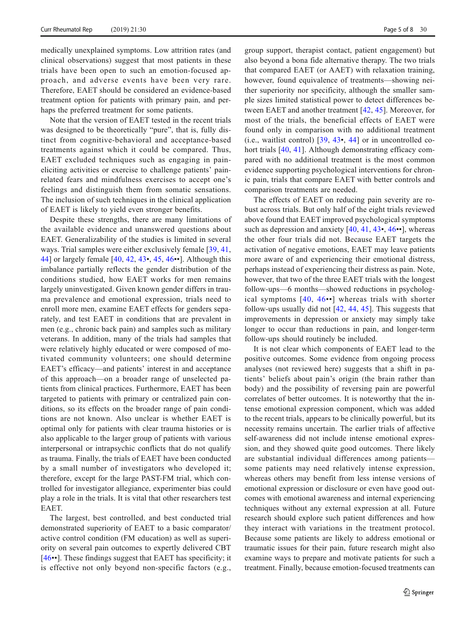medically unexplained symptoms. Low attrition rates (and clinical observations) suggest that most patients in these trials have been open to such an emotion-focused approach, and adverse events have been very rare. Therefore, EAET should be considered an evidence-based treatment option for patients with primary pain, and perhaps the preferred treatment for some patients.

Note that the version of EAET tested in the recent trials was designed to be theoretically "pure", that is, fully distinct from cognitive-behavioral and acceptance-based treatments against which it could be compared. Thus, EAET excluded techniques such as engaging in paineliciting activities or exercise to challenge patients' painrelated fears and mindfulness exercises to accept one's feelings and distinguish them from somatic sensations. The inclusion of such techniques in the clinical application of EAET is likely to yield even stronger benefits.

Despite these strengths, there are many limitations of the available evidence and unanswered questions about EAET. Generalizability of the studies is limited in several ways. Trial samples were either exclusively female [\[39,](#page-6-0) [41,](#page-6-0) [44](#page-7-0)] or largely female [\[40,](#page-6-0) [42,](#page-7-0) [43](#page-7-0)•, [45](#page-7-0), [46](#page-7-0)••]. Although this imbalance partially reflects the gender distribution of the conditions studied, how EAET works for men remains largely uninvestigated. Given known gender differs in trauma prevalence and emotional expression, trials need to enroll more men, examine EAET effects for genders separately, and test EAET in conditions that are prevalent in men (e.g., chronic back pain) and samples such as military veterans. In addition, many of the trials had samples that were relatively highly educated or were composed of motivated community volunteers; one should determine EAET's efficacy—and patients' interest in and acceptance of this approach—on a broader range of unselected patients from clinical practices. Furthermore, EAET has been targeted to patients with primary or centralized pain conditions, so its effects on the broader range of pain conditions are not known. Also unclear is whether EAET is optimal only for patients with clear trauma histories or is also applicable to the larger group of patients with various interpersonal or intrapsychic conflicts that do not qualify as trauma. Finally, the trials of EAET have been conducted by a small number of investigators who developed it; therefore, except for the large PAST-FM trial, which controlled for investigator allegiance, experimenter bias could play a role in the trials. It is vital that other researchers test EAET.

The largest, best controlled, and best conducted trial demonstrated superiority of EAET to a basic comparator/ active control condition (FM education) as well as superiority on several pain outcomes to expertly delivered CBT [\[46](#page-7-0)••]. These findings suggest that EAET has specificity; it is effective not only beyond non-specific factors (e.g., group support, therapist contact, patient engagement) but also beyond a bona fide alternative therapy. The two trials that compared EAET (or AAET) with relaxation training, however, found equivalence of treatments—showing neither superiority nor specificity, although the smaller sample sizes limited statistical power to detect differences between EAET and another treatment [\[42](#page-7-0), [45\]](#page-7-0). Moreover, for most of the trials, the beneficial effects of EAET were found only in comparison with no additional treatment (i.e., waitlist control) [\[39](#page-6-0), [43](#page-7-0)•, [44](#page-7-0)] or in uncontrolled co-hort trials [[40,](#page-6-0) [41\]](#page-6-0). Although demonstrating efficacy compared with no additional treatment is the most common evidence supporting psychological interventions for chronic pain, trials that compare EAET with better controls and comparison treatments are needed.

The effects of EAET on reducing pain severity are robust across trials. But only half of the eight trials reviewed above found that EAET improved psychological symptoms such as depression and anxiety [\[40,](#page-6-0) [41,](#page-6-0) [43](#page-7-0)•, [46](#page-7-0)••], whereas the other four trials did not. Because EAET targets the activation of negative emotions, EAET may leave patients more aware of and experiencing their emotional distress, perhaps instead of experiencing their distress as pain. Note, however, that two of the three EAET trials with the longest follow-ups—6 months—showed reductions in psychological symptoms [[40,](#page-6-0) [46](#page-7-0)••] whereas trials with shorter follow-ups usually did not [\[42,](#page-7-0) [44](#page-7-0), [45](#page-7-0)]. This suggests that improvements in depression or anxiety may simply take longer to occur than reductions in pain, and longer-term follow-ups should routinely be included.

It is not clear which components of EAET lead to the positive outcomes. Some evidence from ongoing process analyses (not reviewed here) suggests that a shift in patients' beliefs about pain's origin (the brain rather than body) and the possibility of reversing pain are powerful correlates of better outcomes. It is noteworthy that the intense emotional expression component, which was added to the recent trials, appears to be clinically powerful, but its necessity remains uncertain. The earlier trials of affective self-awareness did not include intense emotional expression, and they showed quite good outcomes. There likely are substantial individual differences among patients some patients may need relatively intense expression, whereas others may benefit from less intense versions of emotional expression or disclosure or even have good outcomes with emotional awareness and internal experiencing techniques without any external expression at all. Future research should explore such patient differences and how they interact with variations in the treatment protocol. Because some patients are likely to address emotional or traumatic issues for their pain, future research might also examine ways to prepare and motivate patients for such a treatment. Finally, because emotion-focused treatments can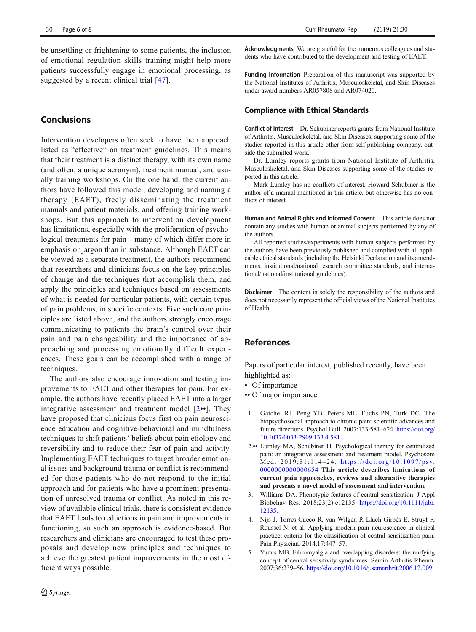<span id="page-5-0"></span>be unsettling or frightening to some patients, the inclusion of emotional regulation skills training might help more patients successfully engage in emotional processing, as suggested by a recent clinical trial [\[47\]](#page-7-0).

# Conclusions

Intervention developers often seek to have their approach listed as "effective" on treatment guidelines. This means that their treatment is a distinct therapy, with its own name (and often, a unique acronym), treatment manual, and usually training workshops. On the one hand, the current authors have followed this model, developing and naming a therapy (EAET), freely disseminating the treatment manuals and patient materials, and offering training workshops. But this approach to intervention development has limitations, especially with the proliferation of psychological treatments for pain—many of which differ more in emphasis or jargon than in substance. Although EAET can be viewed as a separate treatment, the authors recommend that researchers and clinicians focus on the key principles of change and the techniques that accomplish them, and apply the principles and techniques based on assessments of what is needed for particular patients, with certain types of pain problems, in specific contexts. Five such core principles are listed above, and the authors strongly encourage communicating to patients the brain's control over their pain and pain changeability and the importance of approaching and processing emotionally difficult experiences. These goals can be accomplished with a range of techniques.

The authors also encourage innovation and testing improvements to EAET and other therapies for pain. For example, the authors have recently placed EAET into a larger integrative assessment and treatment model [2••]. They have proposed that clinicians focus first on pain neuroscience education and cognitive-behavioral and mindfulness techniques to shift patients' beliefs about pain etiology and reversibility and to reduce their fear of pain and activity. Implementing EAET techniques to target broader emotional issues and background trauma or conflict is recommended for those patients who do not respond to the initial approach and for patients who have a prominent presentation of unresolved trauma or conflict. As noted in this review of available clinical trials, there is consistent evidence that EAET leads to reductions in pain and improvements in functioning, so such an approach is evidence-based. But researchers and clinicians are encouraged to test these proposals and develop new principles and techniques to achieve the greatest patient improvements in the most efficient ways possible.

Acknowledgments We are grateful for the numerous colleagues and students who have contributed to the development and testing of EAET.

Funding Information Preparation of this manuscript was supported by the National Institutes of Arthritis, Musculoskeletal, and Skin Diseases under award numbers AR057808 and AR074020.

#### Compliance with Ethical Standards

Conflict of Interest Dr. Schubiner reports grants from National Institute of Arthritis, Musculoskeletal, and Skin Diseases, supporting some of the studies reported in this article other from self-publishing company, outside the submitted work.

Dr. Lumley reports grants from National Institute of Arthritis, Musculoskeletal, and Skin Diseases supporting some of the studies reported in this article.

Mark Lumley has no conflicts of interest. Howard Schubiner is the author of a manual mentioned in this article, but otherwise has no conflicts of interest.

Human and Animal Rights and Informed Consent This article does not contain any studies with human or animal subjects performed by any of the authors.

All reported studies/experiments with human subjects performed by the authors have been previously published and complied with all applicable ethical standards (including the Helsinki Declaration and its amendments, institutional/national research committee standards, and international/national/institutional guidelines).

Disclaimer The content is solely the responsibility of the authors and does not necessarily represent the official views of the National Institutes of Health.

## References

Papers of particular interest, published recently, have been highlighted as:

- Of importance
- •• Of major importance
- 1. Gatchel RJ, Peng YB, Peters ML, Fuchs PN, Turk DC. The biopsychosocial approach to chronic pain: scientific advances and future directions. Psychol Bull. 2007;133:581–624. [https://doi.org/](https://doi.org/10.1037/0033-2909.133.4.581) [10.1037/0033-2909.133.4.581.](https://doi.org/10.1037/0033-2909.133.4.581)
- 2.•• Lumley MA, Schubiner H. Psychological therapy for centralized pain: an integrative assessment and treatment model. Psychosom Med. 2019;81:114–24. [https://doi.org/10.1097/psy.](https://doi.org/10.1097/psy.0000000000000654) [0000000000000654](https://doi.org/10.1097/psy.0000000000000654) This article describes limitations of current pain approaches, reviews and alternative therapies and presents a novel model of assessment and intervention.
- 3. Williams DA. Phenotypic features of central sensitization. J Appl Biobehav Res. 2018;23(2):e12135. [https://doi.org/10.1111/jabr.](https://doi.org/10.1111/jabr.12135) [12135.](https://doi.org/10.1111/jabr.12135)
- 4. Nijs J, Torres-Cueco R, van Wilgen P, Lluch Girbés E, Struyf F, Roussel N, et al. Applying modern pain neuroscience in clinical practice: criteria for the classification of central sensitization pain. Pain Physician. 2014;17:447–57.
- 5. Yunus MB. Fibromyalgia and overlapping disorders: the unifying concept of central sensitivity syndromes. Semin Arthritis Rheum. 2007;36:339–56. [https://doi.org/10.1016/j.semarthrit.2006.12.009.](https://doi.org/10.1016/j.semarthrit.2006.12.009)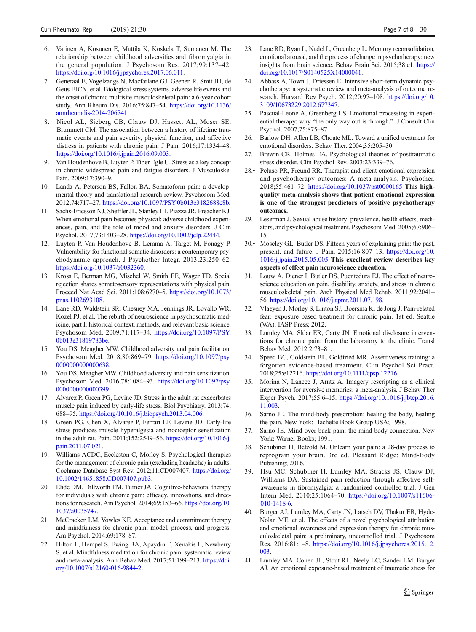- <span id="page-6-0"></span>6. Varinen A, Kosunen E, Mattila K, Koskela T, Sumanen M. The relationship between childhood adversities and fibromyalgia in the general population. J Psychosom Res. 2017;99:137–42. <https://doi.org/10.1016/j.jpsychores.2017.06.011>.
- 7. Generaal E, Vogelzangs N, Macfarlane GJ, Geenen R, Smit JH, de Geus EJCN, et al. Biological stress systems, adverse life events and the onset of chronic multisite musculoskeletal pain: a 6-year cohort study. Ann Rheum Dis. 2016;75:847–54. [https://doi.org/10.1136/](https://doi.org/10.1136/annrheumdis-2014-206741) [annrheumdis-2014-206741](https://doi.org/10.1136/annrheumdis-2014-206741).
- Nicol AL, Sieberg CB, Clauw DJ, Hassett AL, Moser SE, Brummett CM. The association between a history of lifetime traumatic events and pain severity, physical function, and affective distress in patients with chronic pain. J Pain. 2016;17:1334–48. <https://doi.org/10.1016/j.jpain.2016.09.003.>
- 9. Van Houdenhove B, Luyten P, Tiber Egle U. Stress as a key concept in chronic widespread pain and fatigue disorders. J Musculoskel Pain. 2009;17:390–9.
- 10. Landa A, Peterson BS, Fallon BA. Somatoform pain: a developmental theory and translational research review. Psychosom Med. 2012;74:717–27. [https://doi.org/10.1097/PSY.0b013e3182688e8b.](https://doi.org/10.1097/PSY.0b013e3182688e8b)
- 11. Sachs-Ericsson NJ, Sheffler JL, Stanley IH, Piazza JR, Preacher KJ. When emotional pain becomes physical: adverse childhood experiences, pain, and the role of mood and anxiety disorders. J Clin Psychol. 2017;73:1403–28. <https://doi.org/10.1002/jclp.22444>.
- 12. Luyten P, Van Houdenhove B, Lemma A, Target M, Fonagy P. Vulnerability for functional somatic disorders: a contemporary psychodynamic approach. J Psychother Integr. 2013;23:250–62. [https://doi.org/10.1037/a0032360.](https://doi.org/10.1037/a0032360)
- 13. Kross E, Berman MG, Mischel W, Smith EE, Wager TD. Social rejection shares somatosensory representations with physical pain. Proceed Nat Acad Sci. 2011;108:6270–5. [https://doi.org/10.1073/](https://doi.org/10.1073/pnas.1102693108) [pnas.1102693108](https://doi.org/10.1073/pnas.1102693108).
- 14. Lane RD, Waldstein SR, Chesney MA, Jennings JR, Lovallo WR, Kozel PJ, et al. The rebirth of neuroscience in psychosomatic medicine, part I: historical context, methods, and relevant basic science. Psychosom Med. 2009;71:117–34. [https://doi.org/10.1097/PSY.](https://doi.org/10.1097/PSY.0b013e31819783be) [0b013e31819783be](https://doi.org/10.1097/PSY.0b013e31819783be).
- 15. You DS, Meagher MW. Childhood adversity and pain facilitation. Psychosom Med. 2018;80:869–79. [https://doi.org/10.1097/psy.](https://doi.org/10.1097/psy.0000000000000638) [0000000000000638](https://doi.org/10.1097/psy.0000000000000638).
- 16. You DS, Meagher MW. Childhood adversity and pain sensitization. Psychosom Med. 2016;78:1084–93. [https://doi.org/10.1097/psy.](https://doi.org/10.1097/psy.0000000000000399) [0000000000000399](https://doi.org/10.1097/psy.0000000000000399).
- 17. Alvarez P, Green PG, Levine JD. Stress in the adult rat exacerbates muscle pain induced by early-life stress. Biol Psychiatry. 2013;74: 688–95. <https://doi.org/10.1016/j.biopsych.2013.04.006>.
- 18. Green PG, Chen X, Alvarez P, Ferrari LF, Levine JD. Early-life stress produces muscle hyperalgesia and nociceptor sensitization in the adult rat. Pain. 2011;152:2549–56. [https://doi.org/10.1016/j.](https://doi.org/10.1016/j.pain.2011.07.021) [pain.2011.07.021](https://doi.org/10.1016/j.pain.2011.07.021).
- 19. Williams ACDC, Eccleston C, Morley S. Psychological therapies for the management of chronic pain (excluding headache) in adults. Cochrane Database Syst Rev. 2012;11:CD007407. [https://doi.org/](https://doi.org/10.1002/14651858.CD007407.pub3) [10.1002/14651858.CD007407.pub3](https://doi.org/10.1002/14651858.CD007407.pub3).
- 20. Ehde DM, Dillworth TM, Turner JA. Cognitive-behavioral therapy for individuals with chronic pain: efficacy, innovations, and directions for research. Am Psychol. 2014;69:153–66. [https://doi.org/10.](https://doi.org/10.1037/a0035747) [1037/a0035747](https://doi.org/10.1037/a0035747).
- 21. McCracken LM, Vowles KE. Acceptance and commitment therapy and mindfulness for chronic pain: model, process, and progress. Am Psychol. 2014;69:178–87.
- 22. Hilton L, Hempel S, Ewing BA, Apaydin E, Xenakis L, Newberry S, et al. Mindfulness meditation for chronic pain: systematic review and meta-analysis. Ann Behav Med. 2017;51:199–213. [https://doi.](https://doi.org/10.1007/s12160-016-9844-2) [org/10.1007/s12160-016-9844-2.](https://doi.org/10.1007/s12160-016-9844-2)
- 23. Lane RD, Ryan L, Nadel L, Greenberg L. Memory reconsolidation, emotional arousal, and the process of change in psychotherapy: new insights from brain science. Behav Brain Sci. 2015;38:e1. [https://](https://doi.org/10.1017/S0140525X14000041) [doi.org/10.1017/S0140525X14000041](https://doi.org/10.1017/S0140525X14000041).
- 24. Abbass A, Town J, Driessen E. Intensive short-term dynamic psychotherapy: a systematic review and meta-analysis of outcome research. Harvard Rev Psych. 2012;20:97–108. [https://doi.org/10.](https://doi.org/10.3109/10673229.2012.677347) [3109/10673229.2012.677347](https://doi.org/10.3109/10673229.2012.677347).
- 25. Pascual-Leone A, Greenberg LS. Emotional processing in experiential therapy: why "the only way out is through.". J Consult Clin Psychol. 2007;75:875–87.
- 26. Barlow DH, Allen LB, Choate ML. Toward a unified treatment for emotional disorders. Behav Ther. 2004;35:205–30.
- 27. Brewin CR, Holmes EA. Psychological theories of posttraumatic stress disorder. Clin Psychol Rev. 2003;23:339–76.
- 28.• Peluso PR, Freund RR. Therapist and client emotional expression and psychotherapy outcomes: A meta-analysis. Psychother. 2018;55:461–72. <https://doi.org/10.1037/pst0000165> This highquality meta-analysis shows that patient emotional expression is one of the strongest predictors of positive psychotherapy outcomes.
- 29. Leserman J. Sexual abuse history: prevalence, health effects, mediators, and psychological treatment. Psychosom Med. 2005;67:906– 15.
- 30.• Moseley GL, Butler DS. Fifteen years of explaining pain: the past, present, and future. J Pain. 2015;16:807–13. [https://doi.org/10.](https://doi.org/10.1016/j.jpain.2015.05.005) [1016/j.jpain.2015.05.005](https://doi.org/10.1016/j.jpain.2015.05.005) This excellent review describes key aspects of effect pain neuroscience education.
- 31. Louw A, Diener I, Butler DS, Puentedura EJ. The effect of neuroscience education on pain, disability, anxiety, and stress in chronic musculoskeletal pain. Arch Physical Med Rehab. 2011;92:2041– 56. <https://doi.org/10.1016/j.apmr.2011.07.198>.
- 32. Vlaeyen J, Morley S, Linton SJ, Boersma K, de Jong J. Pain-related fear: exposure based treatment for chronic pain. 1st ed. Seattle (WA): IASP Press; 2012.
- 33. Lumley MA, Sklar ER, Carty JN. Emotional disclosure interventions for chronic pain: from the laboratory to the clinic. Transl Behav Med. 2012;2:73–81.
- 34. Speed BC, Goldstein BL, Goldfried MR. Assertiveness training: a forgotten evidence-based treatment. Clin Psychol Sci Pract. 2018;25:e12216. [https://doi.org/10.1111/cpsp.12216.](https://doi.org/10.1111/cpsp.12216)
- 35. Morina N, Lancee J, Arntz A. Imagery rescripting as a clinical intervention for aversive memories: a meta-analysis. J Behav Ther Exper Psych. 2017;55:6–15. [https://doi.org/10.1016/j.jbtep.2016.](https://doi.org/10.1016/j.jbtep.2016.11.003) [11.003.](https://doi.org/10.1016/j.jbtep.2016.11.003)
- 36. Sarno JE. The mind-body prescription: healing the body, healing the pain. New York: Hachette Book Group USA; 1998.
- 37. Sarno JE. Mind over back pain: the mind-body connection. New York: Warner Books; 1991.
- 38. Schubiner H, Betzold M. Unlearn your pain: a 28-day process to reprogram your brain. 3rd ed. Pleasant Ridge: Mind-Body Pubishing; 2016.
- 39. Hsu MC, Schubiner H, Lumley MA, Stracks JS, Clauw DJ, Williams DA. Sustained pain reduction through affective selfawareness in fibromyalgia: a randomized controlled trial. J Gen Intern Med. 2010;25:1064–70. [https://doi.org/10.1007/s11606-](https://doi.org/10.1007/s11606-010-1418-6) [010-1418-6](https://doi.org/10.1007/s11606-010-1418-6).
- 40. Burger AJ, Lumley MA, Carty JN, Latsch DV, Thakur ER, Hyde-Nolan ME, et al. The effects of a novel psychological attribution and emotional awareness and expression therapy for chronic musculoskeletal pain: a preliminary, uncontrolled trial. J Psychosom Res. 2016;81:1–8. [https://doi.org/10.1016/j.jpsychores.2015.12.](https://doi.org/10.1016/j.jpsychores.2015.12.003) [003.](https://doi.org/10.1016/j.jpsychores.2015.12.003)
- 41. Lumley MA, Cohen JL, Stout RL, Neely LC, Sander LM, Burger AJ. An emotional exposure-based treatment of traumatic stress for